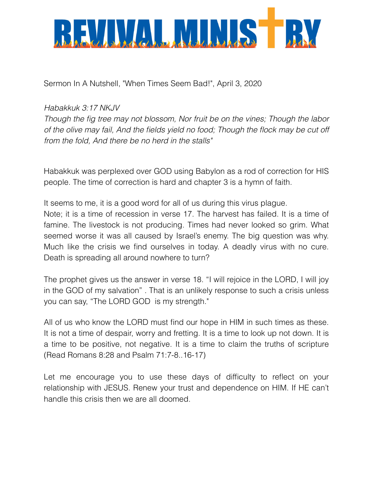

Sermon In A Nutshell, "When Times Seem Bad!", April 3, 2020

## *Habakkuk 3:17 NKJV*

*Though the fig tree may not blossom, Nor fruit be on the vines; Though the labor of the olive may fail, And the fields yield no food; Though the flock may be cut off from the fold, And there be no herd in the stalls"*

Habakkuk was perplexed over GOD using Babylon as a rod of correction for HIS people. The time of correction is hard and chapter 3 is a hymn of faith.

It seems to me, it is a good word for all of us during this virus plague.

Note; it is a time of recession in verse 17. The harvest has failed. It is a time of famine. The livestock is not producing. Times had never looked so grim. What seemed worse it was all caused by Israel's enemy. The big question was why. Much like the crisis we find ourselves in today. A deadly virus with no cure. Death is spreading all around nowhere to turn?

The prophet gives us the answer in verse 18. "I will rejoice in the LORD, I will joy in the GOD of my salvation" . That is an unlikely response to such a crisis unless you can say, "The LORD GOD is my strength."

All of us who know the LORD must find our hope in HIM in such times as these. It is not a time of despair, worry and fretting. It is a time to look up not down. It is a time to be positive, not negative. It is a time to claim the truths of scripture (Read Romans 8:28 and Psalm 71:7-8..16-17)

Let me encourage you to use these days of difficulty to reflect on your relationship with JESUS. Renew your trust and dependence on HIM. If HE can't handle this crisis then we are all doomed.